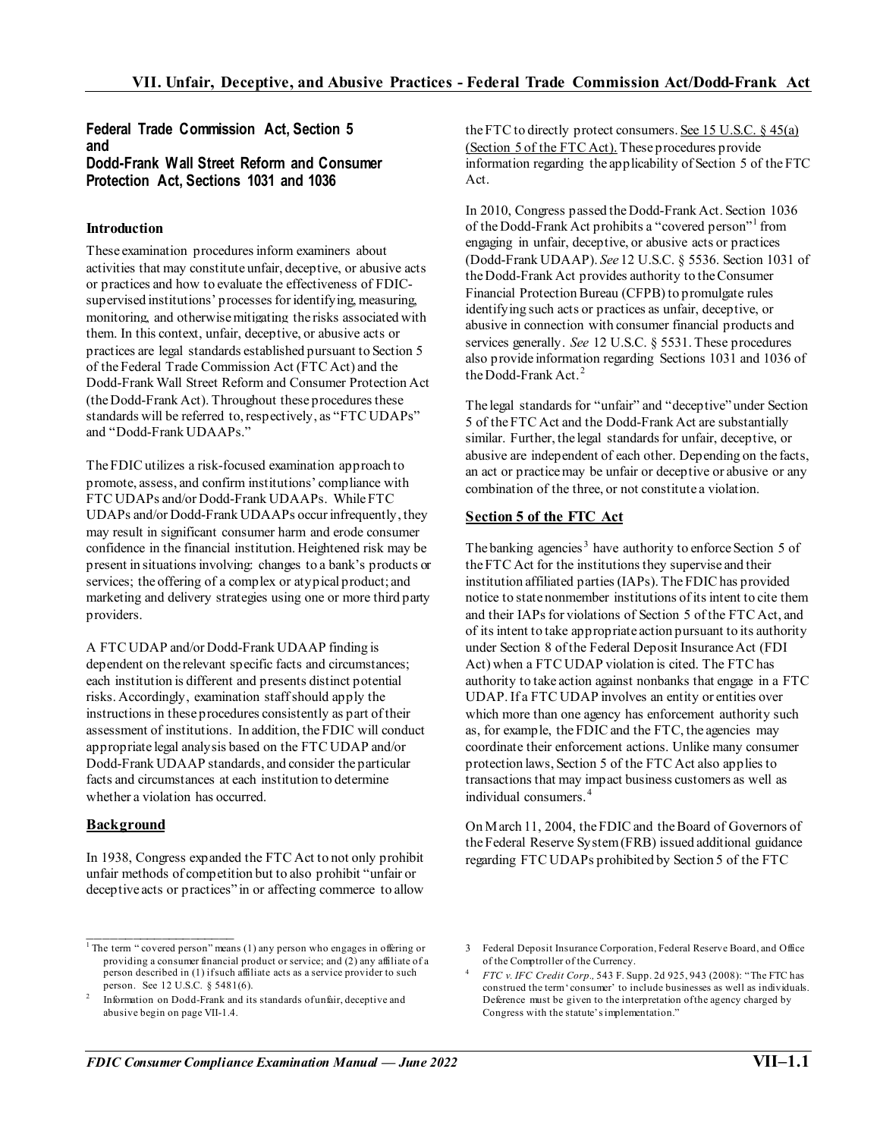## **Federal Trade Commission Act, Section 5 and Dodd-Frank Wall Street Reform and Consumer Protection Act, Sections 1031 and 1036**

### **Introduction**

These examination procedures inform examiners about activities that may constitute unfair, deceptive, or abusive acts or practices and how to evaluate the effectiveness of FDICsupervised institutions' processes for identifying, measuring, monitoring, and otherwise mitigating the risks associated with them. In this context, unfair, deceptive, or abusive acts or practices are legal standards established pursuant to Section 5 of the Federal Trade Commission Act (FTC Act) and the Dodd-Frank Wall Street Reform and Consumer Protection Act (the Dodd-Frank Act). Throughout these procedures these standards will be referred to, respectively, as "FTC UDAPs" and "Dodd-Frank UDAAPs."

The FDIC utilizes a risk-focused examination approach to promote, assess, and confirm institutions' compliance with FTC UDAPs and/or Dodd-Frank UDAAPs. While FTC UDAPs and/or Dodd-Frank UDAAPs occur infrequently, they may result in significant consumer harm and erode consumer confidence in the financial institution. Heightened risk may be present in situations involving: changes to a bank's products or services; the offering of a complex or atypical product; and marketing and delivery strategies using one or more third party providers.

A FTC UDAP and/or Dodd-Frank UDAAP finding is dependent on the relevant specific facts and circumstances; each institution is different and presents distinct potential risks. Accordingly, examination staffshould apply the instructions in these procedures consistently as part of their assessment of institutions. In addition, the FDIC will conduct appropriate legal analysis based on the FTC UDAP and/or Dodd-Frank UDAAP standards, and consider the particular facts and circumstances at each institution to determine whether a violation has occurred.

#### **Background**

 $\mathcal{L}_\text{max}$  and  $\mathcal{L}_\text{max}$  and  $\mathcal{L}_\text{max}$ 

In 1938, Congress expanded the FTC Act to not only prohibit unfair methods of competition but to also prohibit "unfair or deceptive acts or practices" in or affecting commerce to allow the FTC to directly protect consumers. See 15 U.S.C. § 45(a) (Section 5 of the FTC Act). These procedures provide information regarding the applicability of Section 5 of the FTC Act.

In 2010, Congress passed the Dodd-Frank Act. Section 1036 of the Dodd-Frank Act prohibits a "covered person"<sup>[1](#page-0-0)</sup> from engaging in unfair, deceptive, or abusive acts or practices (Dodd-Frank UDAAP). *See* 12 U.S.C. § 5536. Section 1031 of the Dodd-Frank Act provides authority to the Consumer Financial Protection Bureau (CFPB) to promulgate rules identifying such acts or practices as unfair, deceptive, or abusive in connection with consumer financial products and services generally. *See* 12 U.S.C. § 5531. These procedures also provide information regarding Sections 1031 and 1036 of the Dodd-Frank Act. $^2$  $^2$ 

The legal standards for "unfair" and "deceptive" under Section 5 of the FTC Act and the Dodd-Frank Act are substantially similar. Further, the legal standards for unfair, deceptive, or abusive are independent of each other. Depending on the facts, an act or practice may be unfair or deceptive or abusive or any combination of the three, or not constitute a violation.

## **Section 5 of the FTC Act**

The banking agencies<sup>[3](#page-0-0)</sup> have authority to enforce Section 5 of the FTC Act for the institutions they supervise and their institution affiliated parties (IAPs). The FDIC has provided notice to state nonmember institutions of its intent to cite them and their IAPs for violations of Section 5 of the FTC Act, and of its intent to take appropriate action pursuant to its authority under Section 8 of the Federal Deposit Insurance Act (FDI Act) when a FTC UDAP violation is cited. The FTC has authority to take action against nonbanks that engage in a FTC UDAP. If a FTC UDAP involves an entity or entities over which more than one agency has enforcement authority such as, for example, the FDIC and the FTC, the agencies may coordinate their enforcement actions. Unlike many consumer protection laws, Section 5 of the FTC Act also applies to transactions that may impact business customers as well as individual consumers. [4](#page-0-2)

On March 11, 2004, the FDIC and the Board of Governors of the Federal Reserve System (FRB) issued additional guidance regarding FTC UDAPs prohibited by Section 5 of the FTC

<span id="page-0-0"></span><sup>&</sup>lt;sup>1</sup> The term " covered person" means  $(1)$  any person who engages in offering or providing a consumer financial product or service; and (2) any affiliate of a person described in (1) if such affiliate acts as a service provider to such person. See 12 U.S.C. § 5481(6).

<span id="page-0-2"></span><span id="page-0-1"></span>Information on Dodd-Frank and its standards of unfair, deceptive and abusive begin on page VII-1.4.

<sup>3</sup> Federal Deposit Insurance Corporation, Federal Reserve Board, and Office of the Comptroller of the Currency.

<sup>4</sup> *FTC v. IFC Credit Corp.,* 543 F. Supp. 2d 925, 943 (2008): "The FTC has construed the term 'consumer' to include businesses as well as individuals. Deference must be given to the interpretation of the agency charged by Congress with the statute's implementation."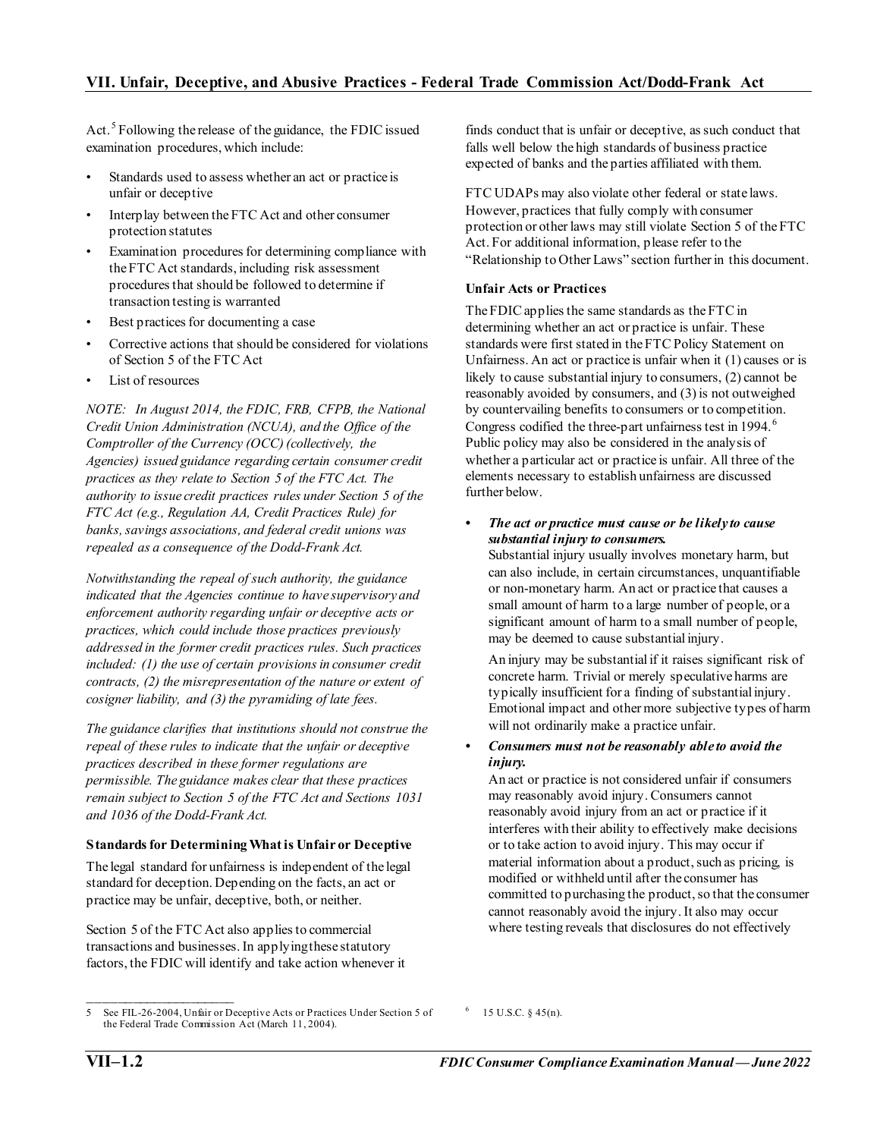Act.<sup>[5](#page-1-0)</sup> Following the release of the guidance, the FDIC issued examination procedures, which include:

- Standards used to assess whether an act or practice is unfair or deceptive
- Interplay between the FTC Act and other consumer protection statutes
- Examination procedures for determining compliance with the FTC Act standards, including risk assessment procedures that should be followed to determine if transaction testing is warranted
- Best practices for documenting a case
- Corrective actions that should be considered for violations of Section 5 of the FTC Act
- List of resources

*NOTE: In August 2014, the FDIC, FRB, CFPB, the National Credit Union Administration (NCUA), and the Office of the Comptroller of the Currency (OCC) (collectively, the Agencies) issued guidance regarding certain consumer credit practices as they relate to Section 5 of the FTC Act. The authority to issue credit practices rules under Section 5 of the FTC Act (e.g., Regulation AA, Credit Practices Rule) for banks, savings associations, and federal credit unions was repealed as a consequence of the Dodd-Frank Act.* 

*Notwithstanding the repeal of such authority, the guidance indicated that the Agencies continue to have supervisory and enforcement authority regarding unfair or deceptive acts or practices, which could include those practices previously addressed in the former credit practices rules. Such practices included: (1) the use of certain provisions in consumer credit contracts, (2) the misrepresentation of the nature or extent of cosigner liability, and (3) the pyramiding of late fees.* 

*The guidance clarifies that institutions should not construe the repeal of these rules to indicate that the unfair or deceptive practices described in these former regulations are permissible. The guidance makes clear that these practices remain subject to Section 5 of the FTC Act and Sections 1031 and 1036 of the Dodd-Frank Act.*

#### **Standards for Determining What is Unfair or Deceptive**

The legal standard for unfairness is independent of the legal standard for deception. Depending on the facts, an act or practice may be unfair, deceptive, both, or neither.

Section 5 of the FTC Act also applies to commercial transactions and businesses. In applying these statutory factors, the FDIC will identify and take action whenever it finds conduct that is unfair or deceptive, as such conduct that falls well below the high standards of business practice expected of banks and the parties affiliated with them.

FTC UDAPs may also violate other federal or state laws. However, practices that fully comply with consumer protection or other laws may still violate Section 5 of the FTC Act. For additional information, please refer to the "Relationship to Other Laws" section further in this document.

## **Unfair Acts or Practices**

The FDIC applies the same standards as the FTC in determining whether an act or practice is unfair. These standards were first stated in the FTC Policy Statement on Unfairness. An act or practice is unfair when it (1) causes or is likely to cause substantial injury to consumers, (2) cannot be reasonably avoided by consumers, and (3) is not outweighed by countervailing benefits to consumers or to competition. Congress codified the three-part unfairness test in 1994.<sup>[6](#page-1-0)</sup> Public policy may also be considered in the analysis of whether a particular act or practice is unfair. All three of the elements necessary to establish unfairness are discussed further below.

*• The act or practice must cause or be likely to cause substantial injury to consumers.*

Substantial injury usually involves monetary harm, but can also include, in certain circumstances, unquantifiable or non-monetary harm. An act or practice that causes a small amount of harm to a large number of people, or a significant amount of harm to a small number of people, may be deemed to cause substantial injury.

An injury may be substantial if it raises significant risk of concrete harm. Trivial or merely speculative harms are typically insufficient for a finding of substantial injury. Emotional impact and other more subjective types of harm will not ordinarily make a practice unfair.

#### *• Consumers must not be reasonably able to avoid the injury.*

An act or practice is not considered unfair if consumers may reasonably avoid injury. Consumers cannot reasonably avoid injury from an act or practice if it interferes with their ability to effectively make decisions or to take action to avoid injury. This may occur if material information about a product, such as pricing, is modified or withheld until after the consumer has committed to purchasing the product, so that the consumer cannot reasonably avoid the injury. It also may occur where testing reveals that disclosures do not effectively

 $\frac{1}{2}$  ,  $\frac{1}{2}$  ,  $\frac{1}{2}$  ,  $\frac{1}{2}$  ,  $\frac{1}{2}$  ,  $\frac{1}{2}$  ,  $\frac{1}{2}$  ,  $\frac{1}{2}$  ,  $\frac{1}{2}$  ,  $\frac{1}{2}$  ,  $\frac{1}{2}$  ,  $\frac{1}{2}$  ,  $\frac{1}{2}$  ,  $\frac{1}{2}$  ,  $\frac{1}{2}$  ,  $\frac{1}{2}$  ,  $\frac{1}{2}$  ,  $\frac{1}{2}$  ,  $\frac{1$ 

<span id="page-1-0"></span><sup>5</sup> See FIL-26-2004, Unfair or Deceptive Acts or Practices Under Section 5 of the Federal Trade Commission Act (March 11, 2004).

<sup>6</sup> 15 U.S.C. § 45(n).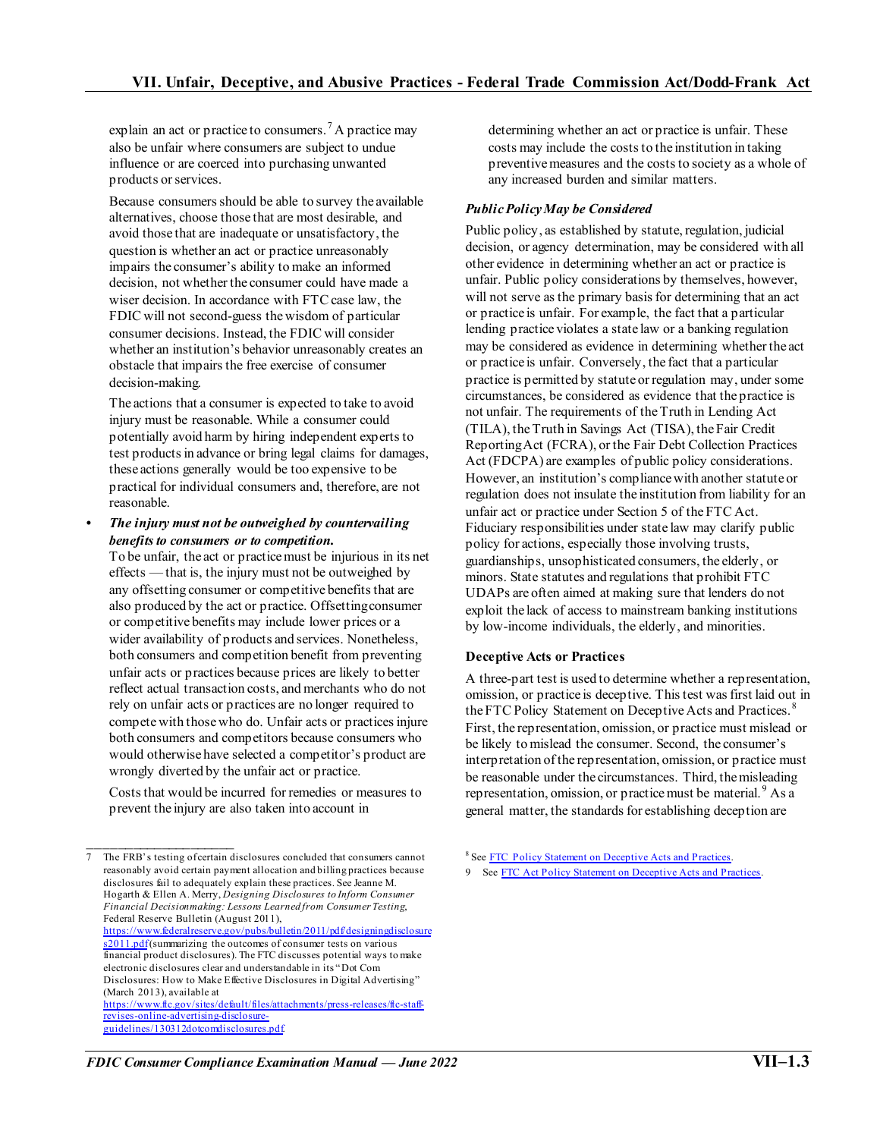explain an act or practice to consumers.<sup>[7](#page-2-0)</sup> A practice may also be unfair where consumers are subject to undue influence or are coerced into purchasing unwanted products or services.

Because consumers should be able to survey the available alternatives, choose those that are most desirable, and avoid those that are inadequate or unsatisfactory, the question is whether an act or practice unreasonably impairs the consumer's ability to make an informed decision, not whether the consumer could have made a wiser decision. In accordance with FTC case law, the FDIC will not second-guess the wisdom of particular consumer decisions. Instead, the FDIC will consider whether an institution's behavior unreasonably creates an obstacle that impairs the free exercise of consumer decision-making.

The actions that a consumer is expected to take to avoid injury must be reasonable. While a consumer could potentially avoid harm by hiring independent experts to test products in advance or bring legal claims for damages, these actions generally would be too expensive to be practical for individual consumers and, therefore, are not reasonable.

*• The injury must not be outweighed by countervailing benefits to consumers or to competition.*

To be unfair, the act or practice must be injurious in its net effects — that is, the injury must not be outweighed by any offsetting consumer or competitive benefits that are also produced by the act or practice. Offsetting consumer or competitive benefits may include lower prices or a wider availability of products and services. Nonetheless, both consumers and competition benefit from preventing unfair acts or practices because prices are likely to better reflect actual transaction costs, and merchants who do not rely on unfair acts or practices are no longer required to compete with those who do. Unfair acts or practices injure both consumers and competitors because consumers who would otherwise have selected a competitor's product are wrongly diverted by the unfair act or practice.

Costs that would be incurred for remedies or measures to prevent the injury are also taken into account in

 $\frac{1}{2}$  ,  $\frac{1}{2}$  ,  $\frac{1}{2}$  ,  $\frac{1}{2}$  ,  $\frac{1}{2}$  ,  $\frac{1}{2}$  ,  $\frac{1}{2}$  ,  $\frac{1}{2}$  ,  $\frac{1}{2}$  ,  $\frac{1}{2}$  ,  $\frac{1}{2}$  ,  $\frac{1}{2}$  ,  $\frac{1}{2}$  ,  $\frac{1}{2}$  ,  $\frac{1}{2}$  ,  $\frac{1}{2}$  ,  $\frac{1}{2}$  ,  $\frac{1}{2}$  ,  $\frac{1$ 

<span id="page-2-1"></span><span id="page-2-0"></span>The FRB's testing of certain disclosures concluded that consumers cannot reasonably avoid certain payment allocation and billing practices because disclosures fail to adequately explain these practices. See Jeanne M. Hogarth & Ellen A. Merry, *Designing Disclosures to Inform Consumer Financial Decisionmaking: Lessons Learned from Consumer Testing*, Federal Reserve Bulletin (August 2011), [https://www.federalreserve.gov/pubs/bulletin/2011/pdf/designingdisclosure](https://www.federalreserve.gov/pubs/bulletin/2011/pdf/designingdisclosures2011.pdf) [s2011.pdf\(](https://www.federalreserve.gov/pubs/bulletin/2011/pdf/designingdisclosures2011.pdf)summarizing the outcomes of consumer tests on various financial product disclosures). The FTC discusses potential ways to make electronic disclosures clear and understandable in its "Dot Com Disclosures: How to Make Effective Disclosures in Digital Advertising" (March 2013), available at [https://www.ftc.gov/sites/default/files/attachments/press-releases/ftc-staff](https://www.ftc.gov/sites/default/files/attachments/press-releases/ftc-staff-revises-online-advertising-disclosure-guidelines/130312dotcomdisclosures.pdf)[revises-online-advertising-disclosure](https://www.ftc.gov/sites/default/files/attachments/press-releases/ftc-staff-revises-online-advertising-disclosure-guidelines/130312dotcomdisclosures.pdf)[guidelines/130312dotcomdisclosures.pdf.](https://www.ftc.gov/sites/default/files/attachments/press-releases/ftc-staff-revises-online-advertising-disclosure-guidelines/130312dotcomdisclosures.pdf)

determining whether an act or practice is unfair. These costs may include the costs to the institution in taking preventive measures and the costs to society as a whole of any increased burden and similar matters.

## *Public Policy May be Considered*

Public policy, as established by statute, regulation, judicial decision, or agency determination, may be considered with all other evidence in determining whether an act or practice is unfair. Public policy considerations by themselves, however, will not serve as the primary basis for determining that an act or practice is unfair. For example, the fact that a particular lending practice violates a state law or a banking regulation may be considered as evidence in determining whether the act or practice is unfair. Conversely, the fact that a particular practice is permitted by statute or regulation may, under some circumstances, be considered as evidence that the practice is not unfair. The requirements of the Truth in Lending Act (TILA), the Truth in Savings Act (TISA), the Fair Credit Reporting Act (FCRA), or the Fair Debt Collection Practices Act (FDCPA) are examples of public policy considerations. However, an institution's compliance with another statute or regulation does not insulate the institution from liability for an unfair act or practice under Section 5 of the FTC Act. Fiduciary responsibilities under state law may clarify public policy for actions, especially those involving trusts, guardianships, unsophisticated consumers, the elderly, or minors. State statutes and regulations that prohibit FTC UDAPs are often aimed at making sure that lenders do not exploit the lack of access to mainstream banking institutions by low-income individuals, the elderly, and minorities.

## **Deceptive Acts or Practices**

A three-part test is used to determine whether a representation, omission, or practice is deceptive. This test was first laid out in the FTC Policy Statement on Deceptive Acts and Practices.<sup>[8](#page-2-0)</sup> First, the representation, omission, or practice must mislead or be likely to mislead the consumer. Second, the consumer's interpretation of the representation, omission, or practice must be reasonable under the circumstances. Third, the misleading representation, omission, or practice must be material.<sup>[9](#page-2-1)</sup> As a general matter, the standards for establishing deception are

<sup>8</sup> See [FTC Policy Statement on Deceptive Acts and Practices.](https://www.ftc.gov/system/files/documents/public_statements/410531/831014deceptionstmt.pdf)

<sup>9</sup> Se[e FTC Act Policy Statement on Deceptive Acts and Practices](https://www.ftc.gov/system/files/documents/public_statements/410531/831014deceptionstmt.pdf).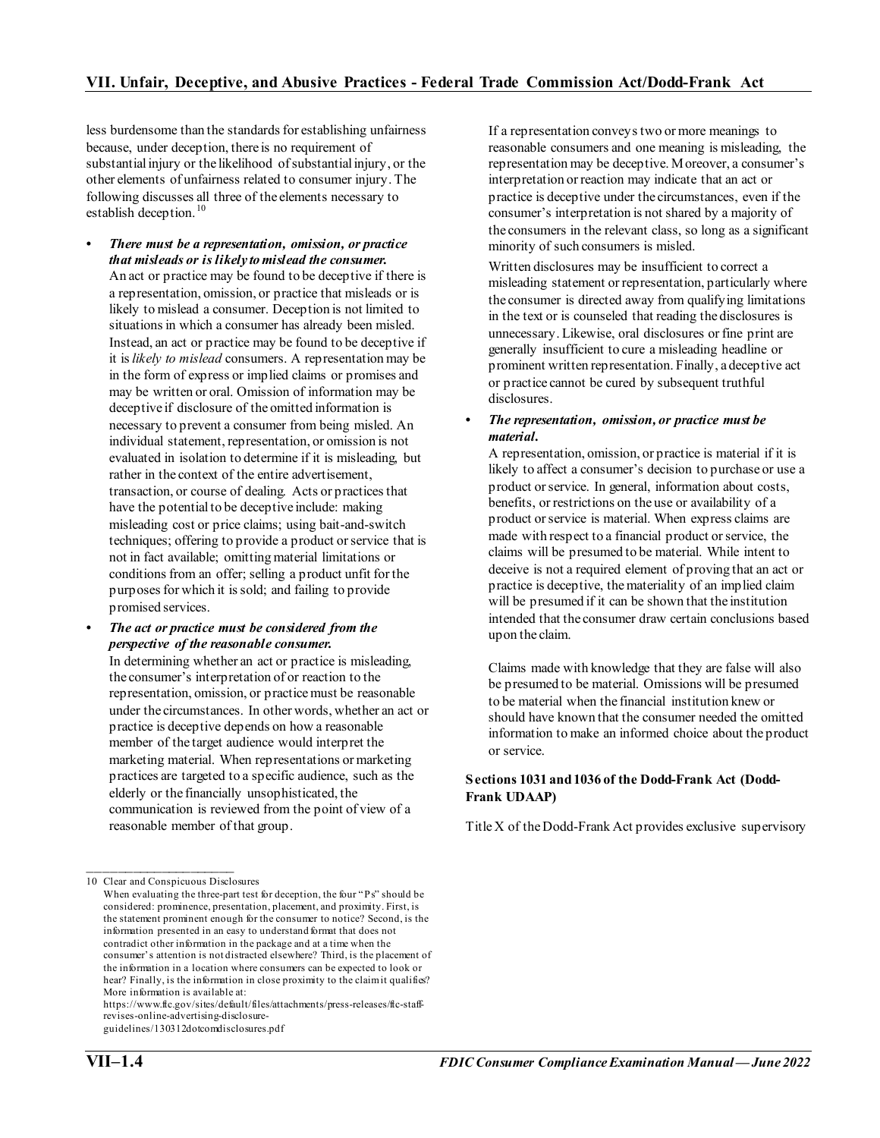less burdensome than the standards for establishing unfairness because, under deception, there is no requirement of substantial injury or the likelihood of substantial injury, or the other elements of unfairness related to consumer injury. The following discusses all three of the elements necessary to establish deception.<sup>[10](#page-3-0)</sup>

- *There must be a representation, omission, or practice that misleads or is likely to mislead the consumer.* An act or practice may be found to be deceptive if there is a representation, omission, or practice that misleads or is likely to mislead a consumer. Deception is not limited to situations in which a consumer has already been misled. Instead, an act or practice may be found to be deceptive if it is *likely to mislead* consumers. A representation may be in the form of express or implied claims or promises and may be written or oral. Omission of information may be deceptive if disclosure of the omitted information is necessary to prevent a consumer from being misled. An individual statement, representation, or omission is not evaluated in isolation to determine if it is misleading, but rather in the context of the entire advertisement, transaction, or course of dealing. Acts or practices that have the potential to be deceptive include: making misleading cost or price claims; using bait-and-switch techniques; offering to provide a product or service that is not in fact available; omitting material limitations or conditions from an offer; selling a product unfit for the purposes for which it is sold; and failing to provide promised services.
- *• The act or practice must be considered from the perspective of the reasonable consumer.*

In determining whether an act or practice is misleading, the consumer's interpretation of or reaction to the representation, omission, or practice must be reasonable under the circumstances. In other words, whether an act or practice is deceptive depends on how a reasonable member of the target audience would interpret the marketing material. When representations or marketing practices are targeted to a specific audience, such as the elderly or the financially unsophisticated, the communication is reviewed from the point of view of a reasonable member of that group.

https://www.ftc.gov/sites/default/files/attachments/press-releases/ftc-staffrevises-online-advertising-disclosure-

guidelines/130312dotcomdisclosures.pdf

If a representation conveys two or more meanings to reasonable consumers and one meaning is misleading, the representation may be deceptive. Moreover, a consumer's interpretation or reaction may indicate that an act or practice is deceptive under the circumstances, even if the consumer's interpretation is not shared by a majority of the consumers in the relevant class, so long as a significant minority of such consumers is misled.

Written disclosures may be insufficient to correct a misleading statement or representation, particularly where the consumer is directed away from qualifying limitations in the text or is counseled that reading the disclosures is unnecessary. Likewise, oral disclosures or fine print are generally insufficient to cure a misleading headline or prominent written representation. Finally, a deceptive act or practice cannot be cured by subsequent truthful disclosures.

#### *• The representation, omission, or practice must be material.*

A representation, omission, or practice is material if it is likely to affect a consumer's decision to purchase or use a product or service. In general, information about costs, benefits, or restrictions on the use or availability of a product or service is material. When express claims are made with respect to a financial product or service, the claims will be presumed to be material. While intent to deceive is not a required element of proving that an act or practice is deceptive, the materiality of an implied claim will be presumed if it can be shown that the institution intended that the consumer draw certain conclusions based upon the claim.

Claims made with knowledge that they are false will also be presumed to be material. Omissions will be presumed to be material when the financial institution knew or should have known that the consumer needed the omitted information to make an informed choice about the product or service.

### **Sections 1031 and 1036 of the Dodd-Frank Act (Dodd-Frank UDAAP)**

Title X of the Dodd-Frank Act provides exclusive supervisory

<span id="page-3-0"></span> $\frac{1}{2}$  ,  $\frac{1}{2}$  ,  $\frac{1}{2}$  ,  $\frac{1}{2}$  ,  $\frac{1}{2}$  ,  $\frac{1}{2}$  ,  $\frac{1}{2}$  ,  $\frac{1}{2}$  ,  $\frac{1}{2}$  ,  $\frac{1}{2}$  ,  $\frac{1}{2}$  ,  $\frac{1}{2}$  ,  $\frac{1}{2}$  ,  $\frac{1}{2}$  ,  $\frac{1}{2}$  ,  $\frac{1}{2}$  ,  $\frac{1}{2}$  ,  $\frac{1}{2}$  ,  $\frac{1$ 10 Clear and Conspicuous Disclosures

When evaluating the three-part test for deception, the four "Ps" should be considered: prominence, presentation, placement, and proximity. First, is the statement prominent enough for the consumer to notice? Second, is the information presented in an easy to understand format that does not contradict other information in the package and at a time when the consumer's attention is not distracted elsewhere? Third, is the placement of the information in a location where consumers can be expected to look or hear? Finally, is the information in close proximity to the claim it qualifies? More information is available at: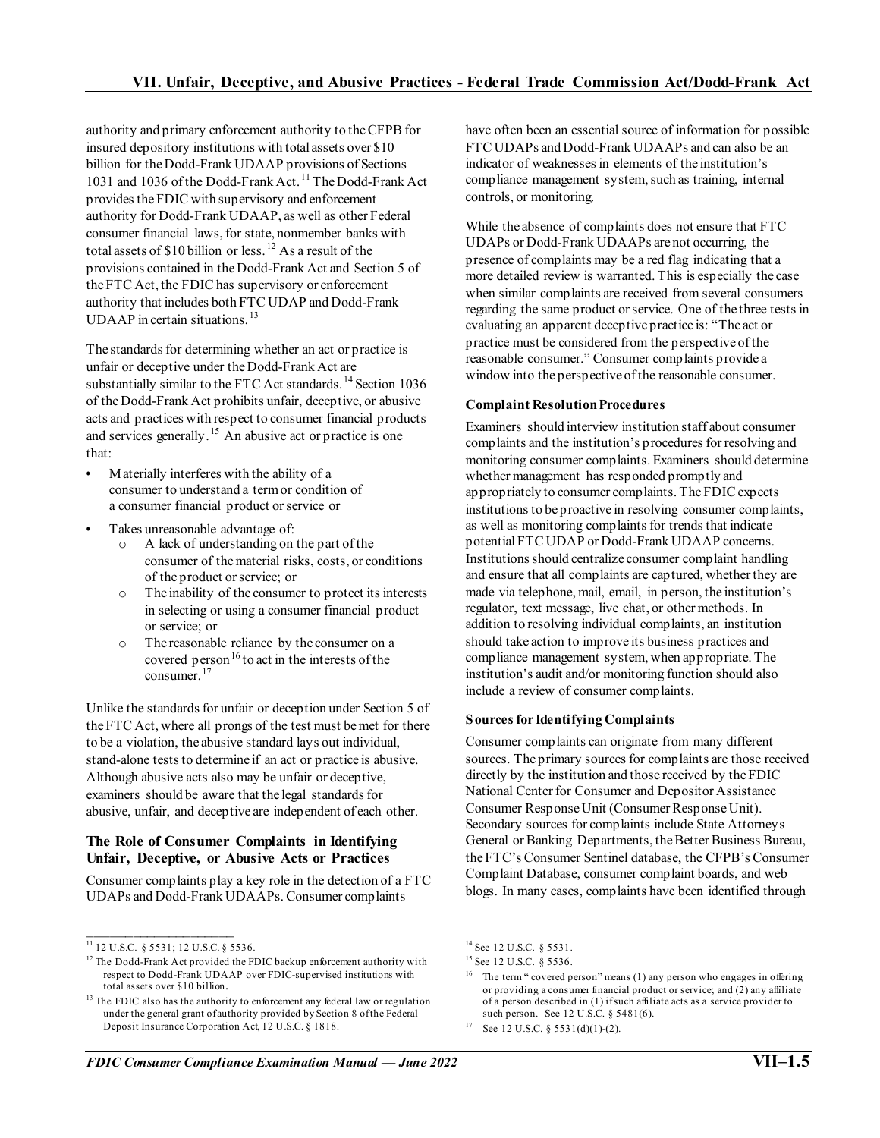authority and primary enforcement authority to the CFPB for insured depository institutions with total assets over \$10 billion for the Dodd-Frank UDAAP provisions of Sections 1031 and 1036 of the Dodd-Frank Act. [11](#page-4-0) The Dodd-Frank Act provides the FDIC with supervisory and enforcement authority for Dodd-Frank UDAAP, as well as other Federal consumer financial laws, for state, nonmember banks with total assets of  $$10$  billion or less.<sup>[12](#page-4-1)</sup> As a result of the provisions contained in the Dodd-Frank Act and Section 5 of the FTC Act, the FDIC has supervisory or enforcement authority that includes both FTC UDAP and Dodd-Frank UDAAP in certain situations.<sup>[13](#page-4-2)</sup>

The standards for determining whether an act or practice is unfair or deceptive under the Dodd-Frank Act are substantially similar to the FTC Act standards.<sup>14</sup> Section 1036 of the Dodd-Frank Act prohibits unfair, deceptive, or abusive acts and practices with respect to consumer financial products and services generally.<sup>[15](#page-4-1)</sup> An abusive act or practice is one that:

- *•* Materially interferes with the ability of a consumer to understand a term or condition of a consumer financial product or service or
- *•* Takes unreasonable advantage of:
	- o A lack of understanding on the part of the consumer of the material risks, costs, or conditions of the product or service; or
	- o The inability of the consumer to protect its interests in selecting or using a consumer financial product or service; or
	- o The reasonable reliance by the consumer on a covered person<sup>[16](#page-4-3)</sup> to act in the interests of the consumer.[17](#page-4-4)

Unlike the standards for unfair or deception under Section 5 of the FTC Act, where all prongs of the test must be met for there to be a violation, the abusive standard lays out individual, stand-alone tests to determine if an act or practice is abusive. Although abusive acts also may be unfair or deceptive, examiners should be aware that the legal standards for abusive, unfair, and deceptive are independent of each other.

## **The Role of Consumer Complaints in Identifying Unfair, Deceptive, or Abusive Acts or Practices**

Consumer complaints play a key role in the detection of a FTC UDAPs and Dodd-Frank UDAAPs. Consumer complaints

have often been an essential source of information for possible FTC UDAPs and Dodd-Frank UDAAPs and can also be an indicator of weaknesses in elements of the institution's compliance management system, such as training, internal controls, or monitoring.

While the absence of complaints does not ensure that FTC UDAPs or Dodd-Frank UDAAPs are not occurring, the presence of complaints may be a red flag indicating that a more detailed review is warranted. This is especially the case when similar complaints are received from several consumers regarding the same product or service. One of the three tests in evaluating an apparent deceptive practice is: "The act or practice must be considered from the perspective of the reasonable consumer." Consumer complaints provide a window into the perspective of the reasonable consumer.

### **Complaint Resolution Procedures**

Examiners should interview institution staff about consumer complaints and the institution's procedures for resolving and monitoring consumer complaints. Examiners should determine whether management has responded promptly and appropriately to consumer complaints. The FDIC expects institutions to be proactive in resolving consumer complaints, as well as monitoring complaints for trends that indicate potential FTC UDAP or Dodd-Frank UDAAP concerns. Institutions should centralize consumer complaint handling and ensure that all complaints are captured, whether they are made via telephone, mail, email, in person, the institution's regulator, text message, live chat, or other methods. In addition to resolving individual complaints, an institution should take action to improve its business practices and compliance management system, when appropriate. The institution's audit and/or monitoring function should also include a review of consumer complaints.

## **Sources for Identifying Complaints**

Consumer complaints can originate from many different sources. The primary sources for complaints are those received directly by the institution and those received by the FDIC National Center for Consumer and Depositor Assistance Consumer Response Unit (Consumer Response Unit). Secondary sources for complaints include State Attorneys General or Banking Departments, the Better Business Bureau, the FTC's Consumer Sentinel database, the CFPB's Consumer Complaint Database, consumer complaint boards, and web blogs. In many cases, complaints have been identified through

 $\frac{1}{2}$  ,  $\frac{1}{2}$  ,  $\frac{1}{2}$  ,  $\frac{1}{2}$  ,  $\frac{1}{2}$  ,  $\frac{1}{2}$  ,  $\frac{1}{2}$  ,  $\frac{1}{2}$  ,  $\frac{1}{2}$  ,  $\frac{1}{2}$  ,  $\frac{1}{2}$  ,  $\frac{1}{2}$  ,  $\frac{1}{2}$  ,  $\frac{1}{2}$  ,  $\frac{1}{2}$  ,  $\frac{1}{2}$  ,  $\frac{1}{2}$  ,  $\frac{1}{2}$  ,  $\frac{1$ <sup>11</sup> 12 U.S.C. § 5531; 12 U.S.C. § 5536.

<span id="page-4-3"></span><span id="page-4-1"></span><span id="page-4-0"></span> $^{12}$  The Dodd-Frank Act provided the FDIC backup enforcement authority with respect to Dodd-Frank UDAAP over FDIC-supervised institutions with total assets over \$10 billion.

<span id="page-4-4"></span><span id="page-4-2"></span><sup>&</sup>lt;sup>13</sup> The FDIC also has the authority to enforcement any federal law or regulation under the general grant of authority provided by Section 8 of the Federal Deposit Insurance Corporation Act, 12 U.S.C. § 1818.

<sup>14</sup> See 12 U.S.C. § 5531.

<sup>&</sup>lt;sup>15</sup> See 12 U.S.C. § 5536.

<sup>&</sup>lt;sup>16</sup> The term " covered person" means (1) any person who engages in offering or providing a consumer financial product or service; and (2) any affiliate of a person described in (1) if such affiliate acts as a service provider to such person. See 12 U.S.C. § 5481(6).

<sup>&</sup>lt;sup>17</sup> See 12 U.S.C. § 5531(d)(1)-(2).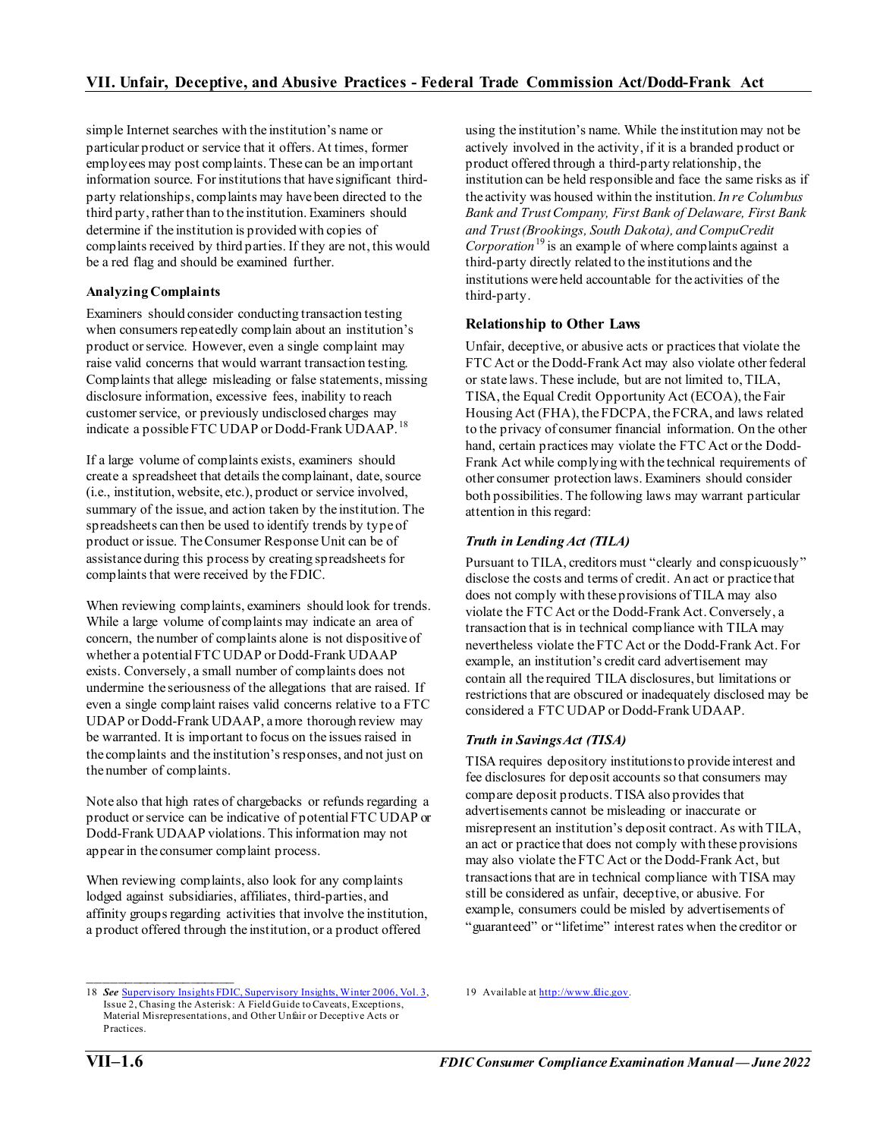simple Internet searches with the institution's name or particular product or service that it offers. At times, former employees may post complaints. These can be an important information source. For institutions that have significant thirdparty relationships, complaints may have been directed to the third party, rather than to the institution. Examiners should determine if the institution is provided with copies of complaints received by third parties. If they are not, this would be a red flag and should be examined further.

### **Analyzing Complaints**

Examiners should consider conducting transaction testing when consumers repeatedly complain about an institution's product or service. However, even a single complaint may raise valid concerns that would warrant transaction testing. Complaints that allege misleading or false statements, missing disclosure information, excessive fees, inability to reach customer service, or previously undisclosed charges may indicate a possible FTC UDAP or Dodd-Frank UDAAP.<sup>[18](#page-5-0)</sup>

If a large volume of complaints exists, examiners should create a spreadsheet that details the complainant, date, source (i.e., institution, website, etc.), product or service involved, summary of the issue, and action taken by the institution. The spreadsheets can then be used to identify trends by type of product or issue. The Consumer Response Unit can be of assistance during this process by creating spreadsheets for complaints that were received by the FDIC.

When reviewing complaints, examiners should look for trends. While a large volume of complaints may indicate an area of concern, the number of complaints alone is not dispositive of whether a potential FTC UDAP or Dodd-Frank UDAAP exists. Conversely, a small number of complaints does not undermine the seriousness of the allegations that are raised. If even a single complaint raises valid concerns relative to a FTC UDAP or Dodd-Frank UDAAP, a more thorough review may be warranted. It is important to focus on the issues raised in the complaints and the institution's responses, and not just on the number of complaints.

Note also that high rates of chargebacks or refunds regarding a product or service can be indicative of potential FTC UDAP or Dodd-Frank UDAAP violations. This information may not appear in the consumer complaint process.

When reviewing complaints, also look for any complaints lodged against subsidiaries, affiliates, third-parties, and affinity groups regarding activities that involve the institution, a product offered through the institution, or a product offered

using the institution's name. While the institution may not be actively involved in the activity, if it is a branded product or product offered through a third-party relationship, the institution can be held responsible and face the same risks as if the activity was housed within the institution.*In re Columbus Bank and Trust Company, First Bank of Delaware, First Bank and Trust (Brookings, South Dakota), and CompuCredit Corporation*[19](#page-5-0) is an example of where complaints against a third-party directly related to the institutions and the institutions were held accountable for the activities of the third-party.

## **Relationship to Other Laws**

Unfair, deceptive, or abusive acts or practices that violate the FTC Act or the Dodd-Frank Act may also violate other federal or state laws. These include, but are not limited to, TILA, TISA, the Equal Credit Opportunity Act (ECOA), the Fair Housing Act (FHA), the FDCPA, the FCRA, and laws related to the privacy of consumer financial information. On the other hand, certain practices may violate the FTC Act or the Dodd-Frank Act while complying with the technical requirements of other consumer protection laws. Examiners should consider both possibilities. The following laws may warrant particular attention in this regard:

## *Truth in Lending Act (TILA)*

Pursuant to TILA, creditors must "clearly and conspicuously" disclose the costs and terms of credit. An act or practice that does not comply with these provisions of TILA may also violate the FTC Act or the Dodd-Frank Act. Conversely, a transaction that is in technical compliance with TILA may nevertheless violate the FTC Act or the Dodd-Frank Act. For example, an institution's credit card advertisement may contain all the required TILA disclosures, but limitations or restrictions that are obscured or inadequately disclosed may be considered a FTC UDAP or Dodd-Frank UDAAP.

## *Truth in Savings Act (TISA)*

19 Available a[t http://www.fdic.gov](http://www.fdic.gov/).

TISA requires depository institutions to provide interest and fee disclosures for deposit accounts so that consumers may compare deposit products. TISA also provides that advertisements cannot be misleading or inaccurate or misrepresent an institution's deposit contract. As with TILA, an act or practice that does not comply with these provisions may also violate the FTC Act or the Dodd-Frank Act, but transactions that are in technical compliance with TISA may still be considered as unfair, deceptive, or abusive. For example, consumers could be misled by advertisements of "guaranteed" or "lifetime" interest rates when the creditor or

 $\frac{1}{2}$  ,  $\frac{1}{2}$  ,  $\frac{1}{2}$  ,  $\frac{1}{2}$  ,  $\frac{1}{2}$  ,  $\frac{1}{2}$  ,  $\frac{1}{2}$  ,  $\frac{1}{2}$  ,  $\frac{1}{2}$  ,  $\frac{1}{2}$  ,  $\frac{1}{2}$  ,  $\frac{1}{2}$  ,  $\frac{1}{2}$  ,  $\frac{1}{2}$  ,  $\frac{1}{2}$  ,  $\frac{1}{2}$  ,  $\frac{1}{2}$  ,  $\frac{1}{2}$  ,  $\frac{1$ 

<span id="page-5-0"></span><sup>18</sup> *See* [Supervisory Insights FDIC, Supervisory Insights, Winter 2006, Vol. 3,](https://www.fdic.gov/regulations/examinations/supervisory/insights/siwin06/siwin06.pdf) Issue 2, Chasing the Asterisk: A Field Guide to Caveats, Exceptions, Material Misrepresentations, and Other Unfair or Deceptive Acts or Practices.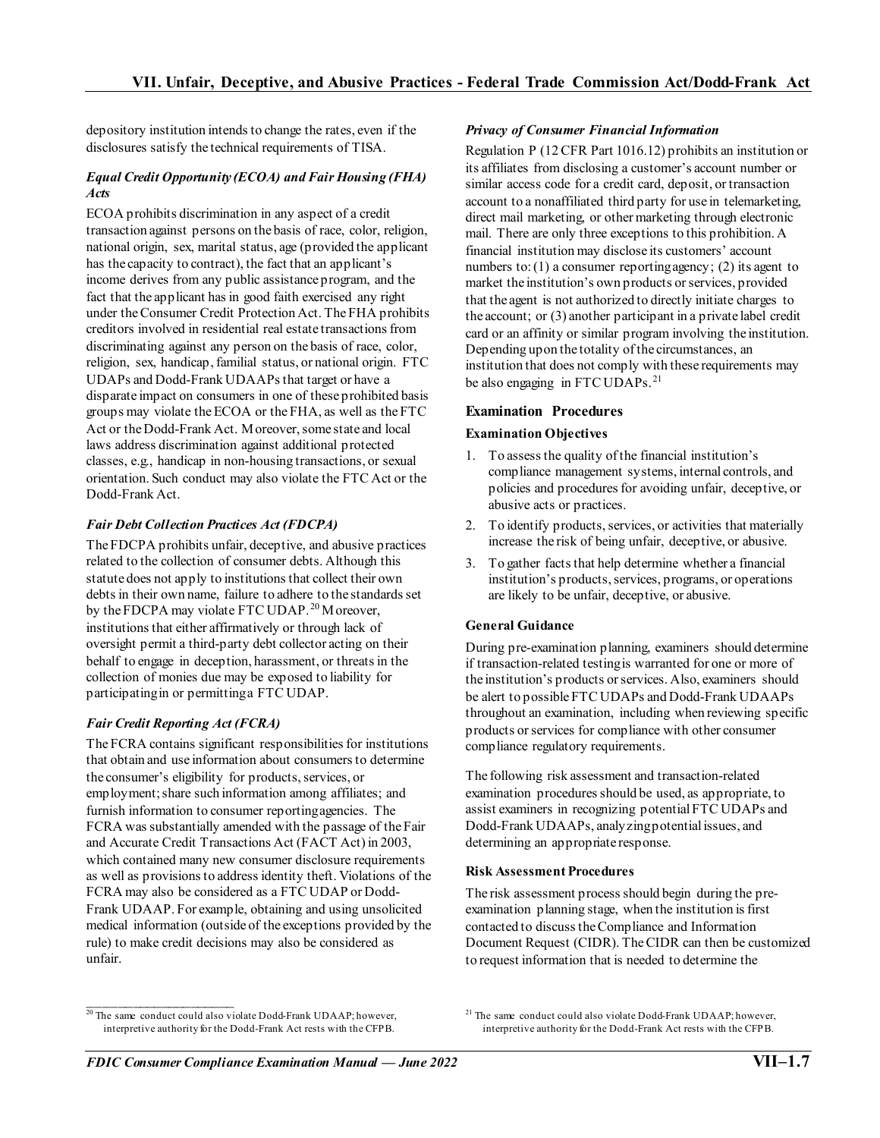depository institution intends to change the rates, even if the disclosures satisfy the technical requirements of TISA.

### *Equal Credit Opportunity (ECOA) and Fair Housing (FHA) Acts*

ECOA prohibits discrimination in any aspect of a credit transaction against persons on the basis of race, color, religion, national origin, sex, marital status, age (provided the applicant has the capacity to contract), the fact that an applicant's income derives from any public assistance program, and the fact that the applicant has in good faith exercised any right under the Consumer Credit Protection Act. The FHA prohibits creditors involved in residential real estate transactions from discriminating against any person on the basis of race, color, religion, sex, handicap, familial status, or national origin. FTC UDAPs and Dodd-Frank UDAAPs that target or have a disparate impact on consumers in one of these prohibited basis groups may violate the ECOA or the FHA, as well as the FTC Act or the Dodd-Frank Act. Moreover, some state and local laws address discrimination against additional protected classes, e.g., handicap in non-housing transactions, or sexual orientation. Such conduct may also violate the FTC Act or the Dodd-Frank Act.

## *Fair Debt Collection Practices Act (FDCPA)*

The FDCPA prohibits unfair, deceptive, and abusive practices related to the collection of consumer debts. Although this statute does not apply to institutions that collect their own debts in their own name, failure to adhere to the standards set by the FDCPA may violate FTC UDAP.<sup>[20](#page-6-0)</sup> Moreover, institutions that either affirmatively or through lack of oversight permit a third-party debt collector acting on their behalf to engage in deception, harassment, or threats in the collection of monies due may be exposed to liability for participating in or permitting a FTC UDAP.

# *Fair Credit Reporting Act (FCRA)*

 $\mathcal{L}_\text{max}$  and  $\mathcal{L}_\text{max}$  and  $\mathcal{L}_\text{max}$ 

The FCRA contains significant responsibilities for institutions that obtain and use information about consumers to determine the consumer's eligibility for products, services, or employment; share such information among affiliates; and furnish information to consumer reporting agencies. The FCRA was substantially amended with the passage of the Fair and Accurate Credit Transactions Act (FACT Act) in 2003, which contained many new consumer disclosure requirements as well as provisions to address identity theft. Violations of the FCRA may also be considered as a FTC UDAP or Dodd-Frank UDAAP. For example, obtaining and using unsolicited medical information (outside of the exceptions provided by the rule) to make credit decisions may also be considered as unfair.

#### *Privacy of Consumer Financial Information*

Regulation P (12 CFR Part 1016.12) prohibits an institution or its affiliates from disclosing a customer's account number or similar access code for a credit card, deposit, or transaction account to a nonaffiliated third party for use in telemarketing, direct mail marketing, or other marketing through electronic mail. There are only three exceptions to this prohibition. A financial institution may disclose its customers' account numbers to: (1) a consumer reporting agency; (2) its agent to market the institution's own products or services, provided that the agent is not authorized to directly initiate charges to the account; or (3) another participant in a private label credit card or an affinity or similar program involving the institution. Depending upon the totality of the circumstances, an institution that does not comply with these requirements may be also engaging in FTC UDAPs.<sup>[21](#page-6-0)</sup>

# **Examination Procedures**

## **Examination Objectives**

- 1. To assess the quality of the financial institution's compliance management systems, internal controls, and policies and procedures for avoiding unfair, deceptive, or abusive acts or practices.
- 2. To identify products, services, or activities that materially increase the risk of being unfair, deceptive, or abusive.
- 3. To gather facts that help determine whether a financial institution's products, services, programs, or operations are likely to be unfair, deceptive, or abusive.

## **General Guidance**

During pre-examination planning, examiners should determine if transaction-related testing is warranted for one or more of the institution's products or services. Also, examiners should be alert to possible FTC UDAPs and Dodd-Frank UDAAPs throughout an examination, including when reviewing specific products or services for compliance with other consumer compliance regulatory requirements.

The following risk assessment and transaction-related examination procedures should be used, as appropriate, to assist examiners in recognizing potential FTC UDAPs and Dodd-Frank UDAAPs, analyzing potential issues, and determining an appropriate response.

#### **Risk Assessment Procedures**

The risk assessment process should begin during the preexamination planning stage, when the institution is first contacted to discuss the Compliance and Information Document Request (CIDR). The CIDR can then be customized to request information that is needed to determine the

<span id="page-6-0"></span><sup>&</sup>lt;sup>20</sup> The same conduct could also violate Dodd-Frank UDAAP; however, interpretive authority for the Dodd-Frank Act rests with the CFPB.

<sup>&</sup>lt;sup>21</sup> The same conduct could also violate Dodd-Frank UDAAP; however, interpretive authority for the Dodd-Frank Act rests with the CFPB.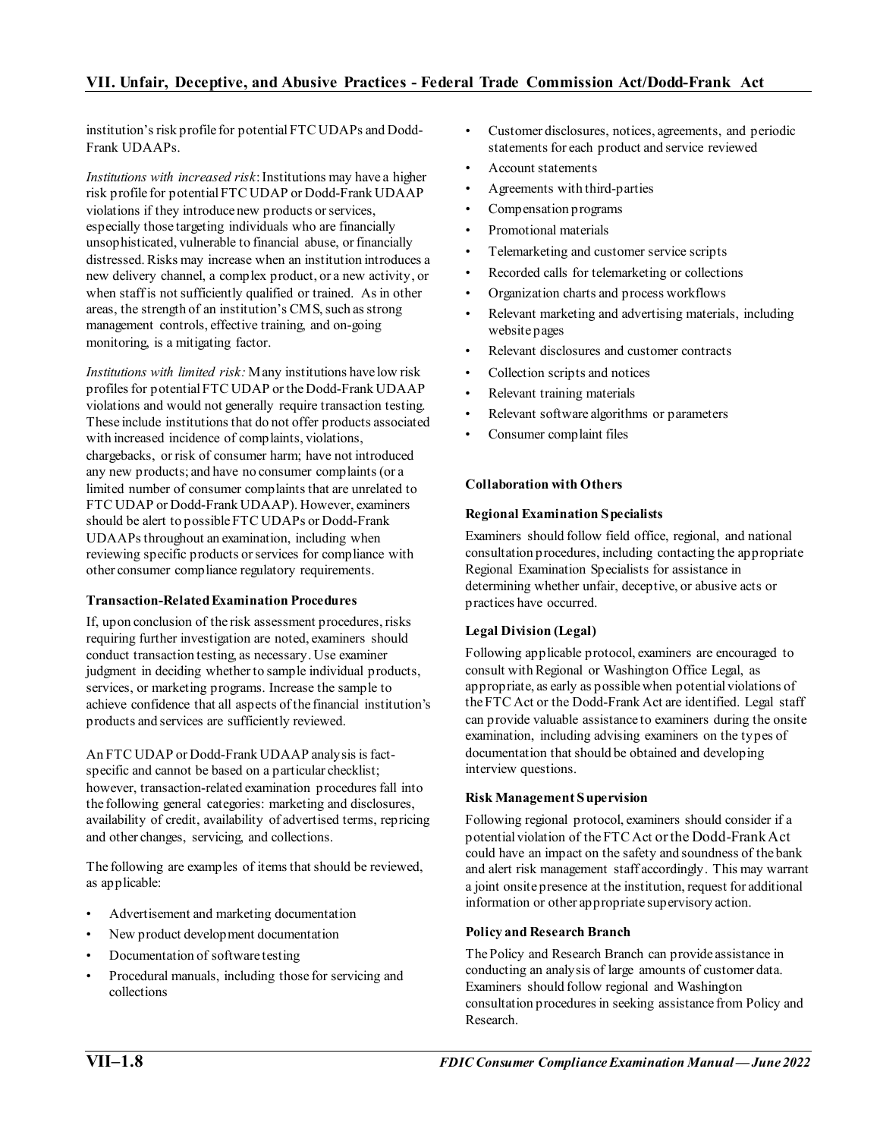institution's risk profile for potential FTC UDAPs and Dodd-Frank UDAAPs.

*Institutions with increased risk*: Institutions may have a higher risk profile for potential FTC UDAP or Dodd-Frank UDAAP violations if they introduce new products or services, especially those targeting individuals who are financially unsophisticated, vulnerable to financial abuse, or financially distressed. Risks may increase when an institution introduces a new delivery channel, a complex product, or a new activity, or when staff is not sufficiently qualified or trained. As in other areas, the strength of an institution's CMS, such as strong management controls, effective training, and on-going monitoring, is a mitigating factor.

*Institutions with limited risk:* Many institutions have low risk profiles for potential FTC UDAP or the Dodd-Frank UDAAP violations and would not generally require transaction testing. These include institutions that do not offer products associated with increased incidence of complaints, violations, chargebacks, or risk of consumer harm; have not introduced any new products; and have no consumer complaints (or a limited number of consumer complaints that are unrelated to FTC UDAP or Dodd-Frank UDAAP). However, examiners should be alert to possible FTC UDAPs or Dodd-Frank UDAAPs throughout an examination, including when reviewing specific products or services for compliance with other consumer compliance regulatory requirements.

#### **Transaction-Related Examination Procedures**

If, upon conclusion of the risk assessment procedures, risks requiring further investigation are noted, examiners should conduct transaction testing, as necessary. Use examiner judgment in deciding whether to sample individual products, services, or marketing programs. Increase the sample to achieve confidence that all aspects of the financial institution's products and services are sufficiently reviewed.

An FTC UDAP or Dodd-Frank UDAAP analysis is factspecific and cannot be based on a particular checklist; however, transaction-related examination procedures fall into the following general categories: marketing and disclosures, availability of credit, availability of advertised terms, repricing and other changes, servicing, and collections.

The following are examples of items that should be reviewed, as applicable:

- Advertisement and marketing documentation
- New product development documentation
- Documentation of software testing
- Procedural manuals, including those for servicing and collections
- Customer disclosures, notices, agreements, and periodic statements for each product and service reviewed
- Account statements
- Agreements with third-parties
- Compensation programs
- Promotional materials
- Telemarketing and customer service scripts
- Recorded calls for telemarketing or collections
- Organization charts and process workflows
- Relevant marketing and advertising materials, including website pages
- Relevant disclosures and customer contracts
- Collection scripts and notices
- Relevant training materials
- Relevant software algorithms or parameters
- Consumer complaint files

### **Collaboration with Others**

#### **Regional Examination Specialists**

Examiners should follow field office, regional, and national consultation procedures, including contacting the appropriate Regional Examination Specialists for assistance in determining whether unfair, deceptive, or abusive acts or practices have occurred.

#### **Legal Division (Legal)**

Following applicable protocol, examiners are encouraged to consult with Regional or Washington Office Legal, as appropriate, as early as possible when potential violations of the FTC Act or the Dodd-Frank Act are identified. Legal staff can provide valuable assistance to examiners during the onsite examination, including advising examiners on the types of documentation that should be obtained and developing interview questions.

#### **Risk Management Supervision**

Following regional protocol, examiners should consider if a potential violation of the FTC Act or the Dodd-FrankAct could have an impact on the safety and soundness of the bank and alert risk management staff accordingly. This may warrant a joint onsite presence at the institution, request for additional information or other appropriate supervisory action.

#### **Policy and Research Branch**

The Policy and Research Branch can provide assistance in conducting an analysis of large amounts of customer data. Examiners should follow regional and Washington consultation procedures in seeking assistance from Policy and Research.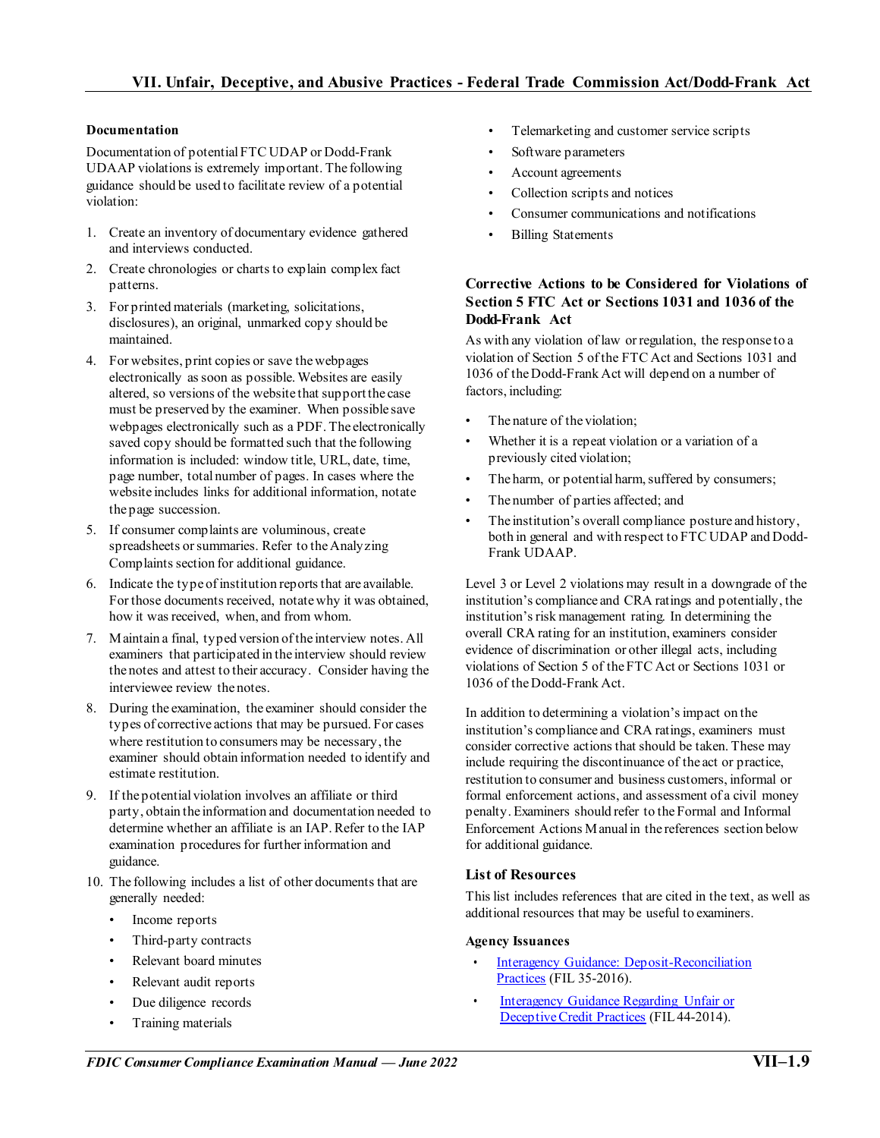#### **Documentation**

Documentation of potential FTC UDAP or Dodd-Frank UDAAP violations is extremely important. The following guidance should be used to facilitate review of a potential violation:

- 1. Create an inventory of documentary evidence gathered and interviews conducted.
- 2. Create chronologies or charts to explain complex fact patterns.
- 3. For printed materials (marketing, solicitations, disclosures), an original, unmarked copy should be maintained.
- 4. For websites, print copies or save the webpages electronically as soon as possible. Websites are easily altered, so versions of the website that support the case must be preserved by the examiner. When possible save webpages electronically such as a PDF. The electronically saved copy should be formatted such that the following information is included: window title, URL, date, time, page number, total number of pages. In cases where the website includes links for additional information, notate the page succession.
- 5. If consumer complaints are voluminous, create spreadsheets or summaries. Refer to the Analyzing Complaints section for additional guidance.
- 6. Indicate the type of institution reports that are available. For those documents received, notate why it was obtained, how it was received, when, and from whom.
- 7. Maintain a final, typed version of the interview notes. All examiners that participated in the interview should review the notes and attest to their accuracy. Consider having the interviewee review the notes.
- 8. During the examination, the examiner should consider the types of corrective actions that may be pursued. For cases where restitution to consumers may be necessary, the examiner should obtain information needed to identify and estimate restitution.
- 9. If the potential violation involves an affiliate or third party, obtain the information and documentation needed to determine whether an affiliate is an IAP. Refer to the IAP examination procedures for further information and guidance.
- 10. The following includes a list of other documents that are generally needed:
	- Income reports
	- Third-party contracts
	- Relevant board minutes
	- Relevant audit reports
	- Due diligence records
	- Training materials
- Telemarketing and customer service scripts
- Software parameters
- Account agreements
- Collection scripts and notices
- Consumer communications and notifications
- Billing Statements

## **Corrective Actions to be Considered for Violations of Section 5 FTC Act or Sections 1031 and 1036 of the Dodd-Frank Act**

As with any violation of law or regulation, the response to a violation of Section 5 of the FTC Act and Sections 1031 and 1036 of the Dodd-Frank Act will depend on a number of factors, including:

- The nature of the violation;
- Whether it is a repeat violation or a variation of a previously cited violation;
- The harm, or potential harm, suffered by consumers;
- The number of parties affected; and
- The institution's overall compliance posture and history, both in general and with respect to FTC UDAP and Dodd-Frank UDAAP.

Level 3 or Level 2 violations may result in a downgrade of the institution's compliance and CRA ratings and potentially, the institution's risk management rating. In determining the overall CRA rating for an institution, examiners consider evidence of discrimination or other illegal acts, including violations of Section 5 of the FTC Act or Sections 1031 or 1036 of the Dodd-Frank Act.

In addition to determining a violation's impact on the institution's compliance and CRA ratings, examiners must consider corrective actions that should be taken. These may include requiring the discontinuance of the act or practice, restitution to consumer and business customers, informal or formal enforcement actions, and assessment of a civil money penalty. Examiners should refer to the Formal and Informal Enforcement Actions Manual in the references section below for additional guidance.

# **List of Resources**

This list includes references that are cited in the text, as well as additional resources that may be useful to examiners.

#### **Agency Issuances**

- [Interagency Guidance: Deposit-Reconciliation](https://www.fdic.gov/news/news/financial/2016/fil16035.html) [Practices](https://www.fdic.gov/news/news/financial/2016/fil16035.html) (FIL 35-2016).
- [Interagency Guidance Regarding Unfair or](https://www.fdic.gov/news/news/financial/2014/fil14044.html) [Deceptive Credit Practices](https://www.fdic.gov/news/news/financial/2014/fil14044.html) (FIL 44-2014).